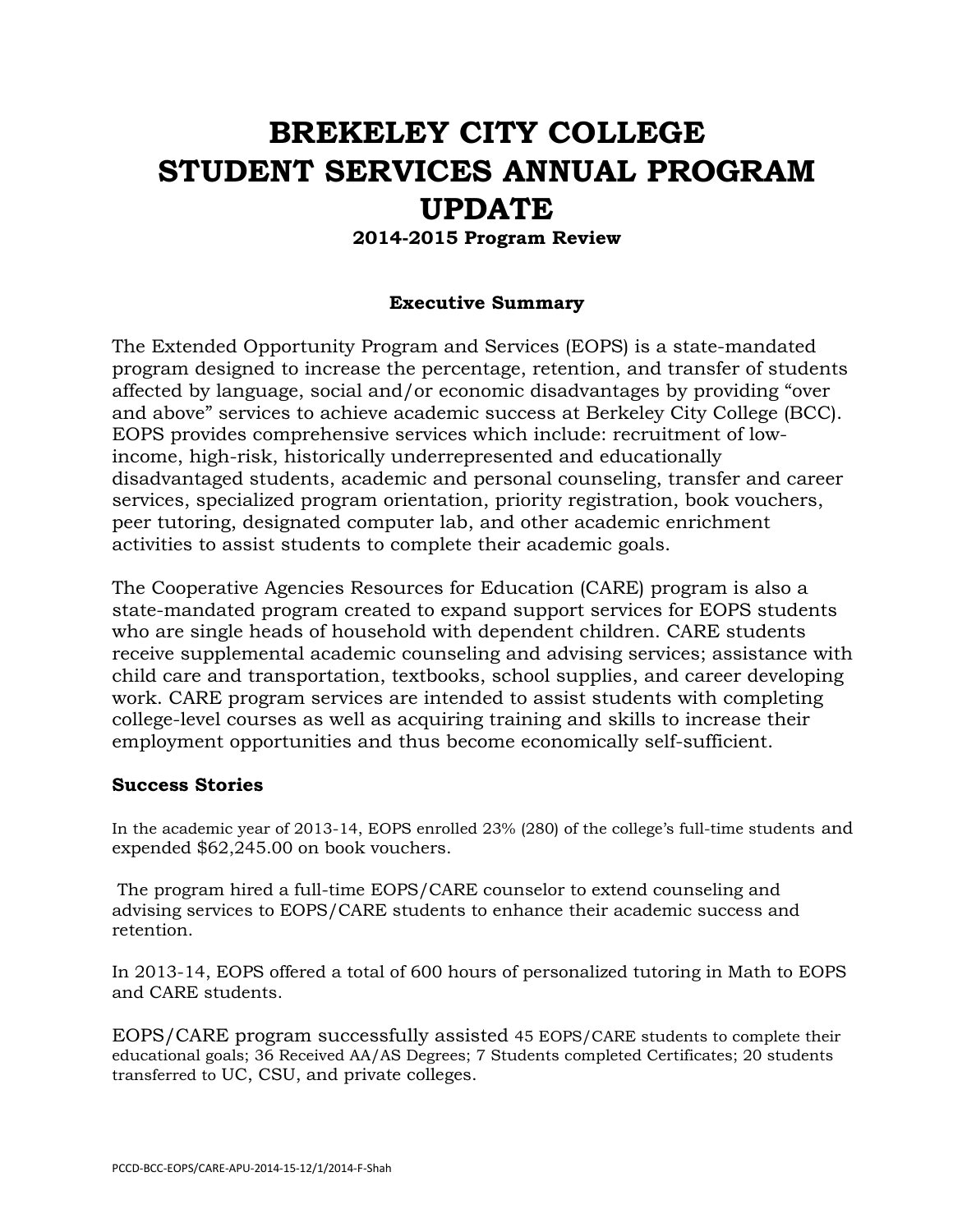# **BREKELEY CITY COLLEGE STUDENT SERVICES ANNUAL PROGRAM UPDATE**

#### **2014-2015 Program Review**

#### **Executive Summary**

The Extended Opportunity Program and Services (EOPS) is a state-mandated program designed to increase the percentage, retention, and transfer of students affected by language, social and/or economic disadvantages by providing "over and above" services to achieve academic success at Berkeley City College (BCC). EOPS provides comprehensive services which include: recruitment of lowincome, high-risk, historically underrepresented and educationally disadvantaged students, academic and personal counseling, transfer and career services, specialized program orientation, priority registration, book vouchers, peer tutoring, designated computer lab, and other academic enrichment activities to assist students to complete their academic goals.

The Cooperative Agencies Resources for Education (CARE) program is also a state-mandated program created to expand support services for EOPS students who are single heads of household with dependent children. CARE students receive supplemental academic counseling and advising services; assistance with child care and transportation, textbooks, school supplies, and career developing work. CARE program services are intended to assist students with completing college-level courses as well as acquiring training and skills to increase their employment opportunities and thus become economically self-sufficient.

#### **Success Stories**

In the academic year of 2013-14, EOPS enrolled 23% (280) of the college's full-time students and expended \$62,245.00 on book vouchers.

The program hired a full-time EOPS/CARE counselor to extend counseling and advising services to EOPS/CARE students to enhance their academic success and retention.

In 2013-14, EOPS offered a total of 600 hours of personalized tutoring in Math to EOPS and CARE students.

EOPS/CARE program successfully assisted 45 EOPS/CARE students to complete their educational goals; 36 Received AA/AS Degrees; 7 Students completed Certificates; 20 students transferred to UC, CSU, and private colleges.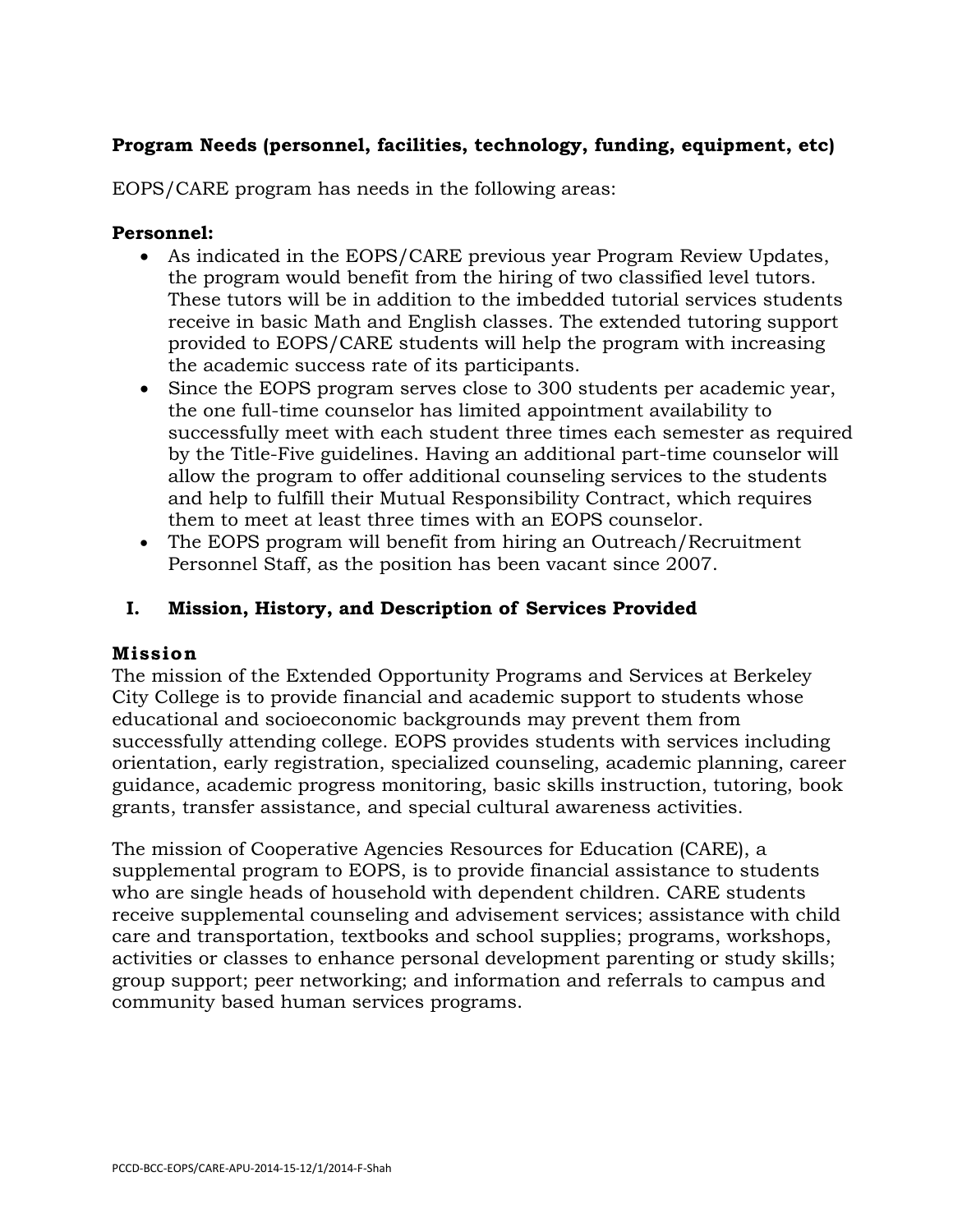# **Program Needs (personnel, facilities, technology, funding, equipment, etc)**

EOPS/CARE program has needs in the following areas:

#### **Personnel:**

- As indicated in the EOPS/CARE previous year Program Review Updates, the program would benefit from the hiring of two classified level tutors. These tutors will be in addition to the imbedded tutorial services students receive in basic Math and English classes. The extended tutoring support provided to EOPS/CARE students will help the program with increasing the academic success rate of its participants.
- Since the EOPS program serves close to 300 students per academic year, the one full-time counselor has limited appointment availability to successfully meet with each student three times each semester as required by the Title-Five guidelines. Having an additional part-time counselor will allow the program to offer additional counseling services to the students and help to fulfill their Mutual Responsibility Contract, which requires them to meet at least three times with an EOPS counselor.
- The EOPS program will benefit from hiring an Outreach/Recruitment Personnel Staff, as the position has been vacant since 2007.

# **I. Mission, History, and Description of Services Provided**

## **Mission**

The mission of the Extended Opportunity Programs and Services at Berkeley City College is to provide financial and academic support to students whose educational and socioeconomic backgrounds may prevent them from successfully attending college. EOPS provides students with services including orientation, early registration, specialized counseling, academic planning, career guidance, academic progress monitoring, basic skills instruction, tutoring, book grants, transfer assistance, and special cultural awareness activities.

The mission of Cooperative Agencies Resources for Education (CARE), a supplemental program to EOPS, is to provide financial assistance to students who are single heads of household with dependent children. CARE students receive supplemental counseling and advisement services; assistance with child care and transportation, textbooks and school supplies; programs, workshops, activities or classes to enhance personal development parenting or study skills; group support; peer networking; and information and referrals to campus and community based human services programs.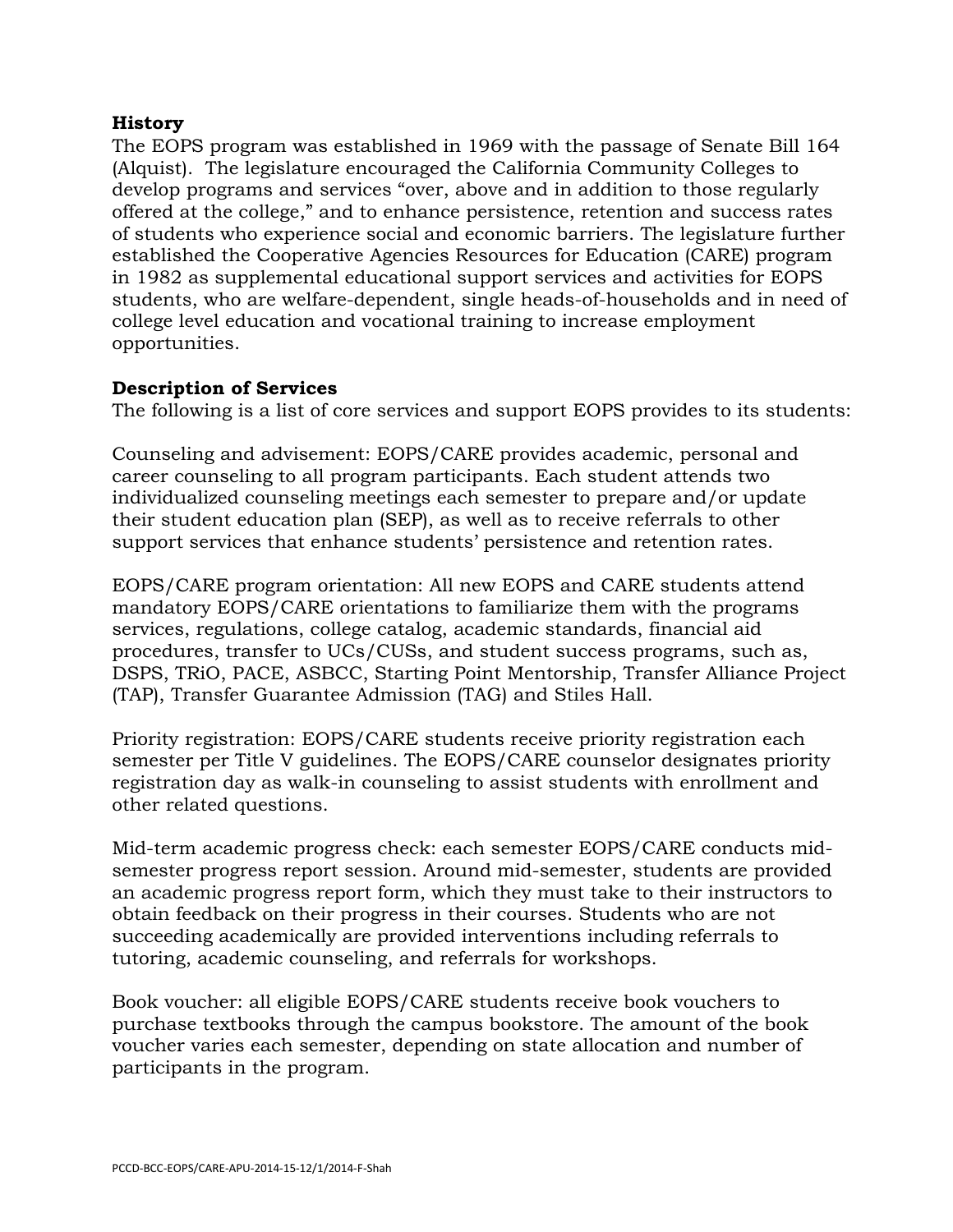## **History**

The EOPS program was established in 1969 with the passage of Senate Bill 164 (Alquist). The legislature encouraged the California Community Colleges to develop programs and services "over, above and in addition to those regularly offered at the college," and to enhance persistence, retention and success rates of students who experience social and economic barriers. The legislature further established the Cooperative Agencies Resources for Education (CARE) program in 1982 as supplemental educational support services and activities for EOPS students, who are welfare-dependent, single heads-of-households and in need of college level education and vocational training to increase employment opportunities.

#### **Description of Services**

The following is a list of core services and support EOPS provides to its students:

Counseling and advisement: EOPS/CARE provides academic, personal and career counseling to all program participants. Each student attends two individualized counseling meetings each semester to prepare and/or update their student education plan (SEP), as well as to receive referrals to other support services that enhance students' persistence and retention rates.

EOPS/CARE program orientation: All new EOPS and CARE students attend mandatory EOPS/CARE orientations to familiarize them with the programs services, regulations, college catalog, academic standards, financial aid procedures, transfer to UCs/CUSs, and student success programs, such as, DSPS, TRiO, PACE, ASBCC, Starting Point Mentorship, Transfer Alliance Project (TAP), Transfer Guarantee Admission (TAG) and Stiles Hall.

Priority registration: EOPS/CARE students receive priority registration each semester per Title V guidelines. The EOPS/CARE counselor designates priority registration day as walk-in counseling to assist students with enrollment and other related questions.

Mid-term academic progress check: each semester EOPS/CARE conducts midsemester progress report session. Around mid-semester, students are provided an academic progress report form, which they must take to their instructors to obtain feedback on their progress in their courses. Students who are not succeeding academically are provided interventions including referrals to tutoring, academic counseling, and referrals for workshops.

Book voucher: all eligible EOPS/CARE students receive book vouchers to purchase textbooks through the campus bookstore. The amount of the book voucher varies each semester, depending on state allocation and number of participants in the program.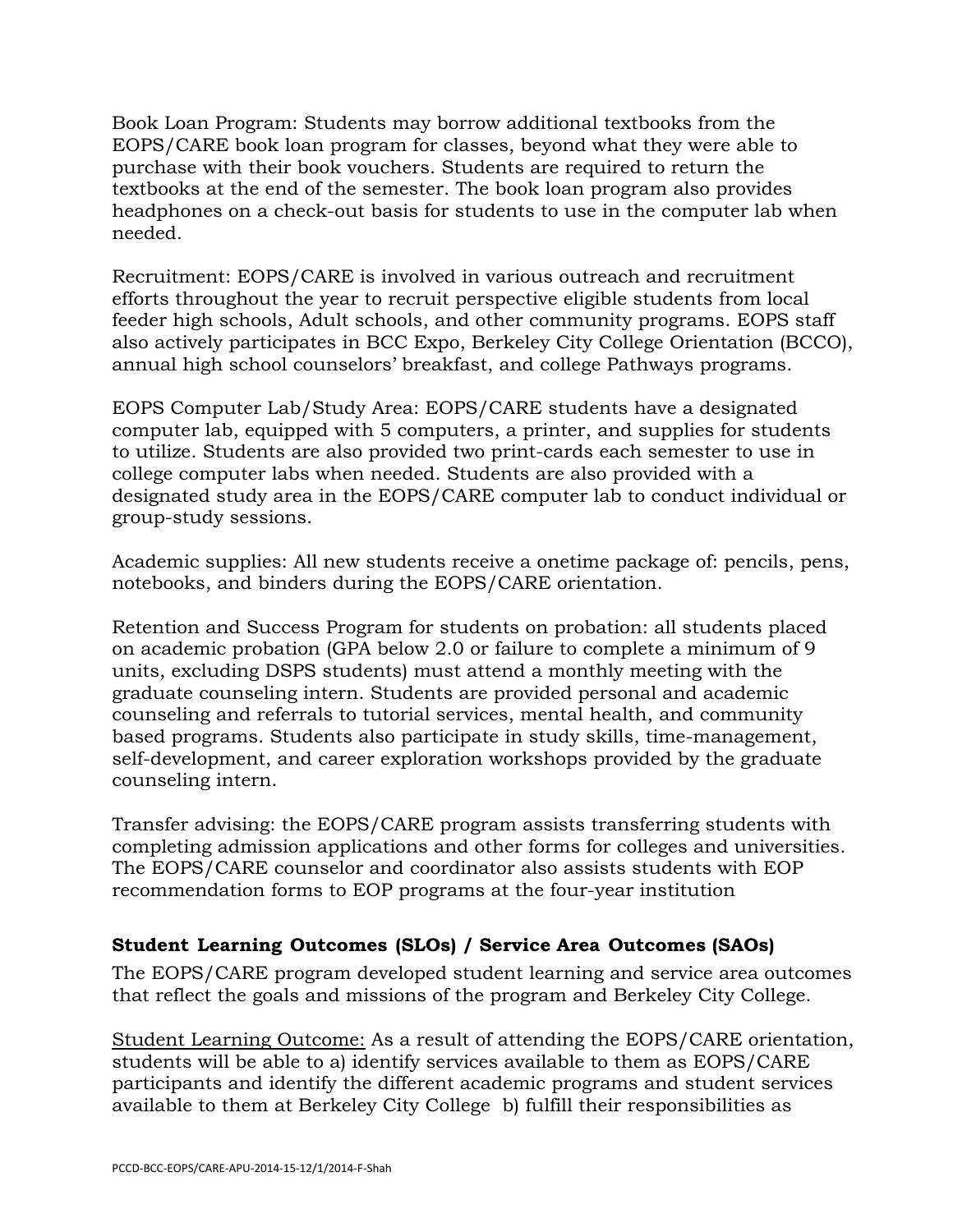Book Loan Program: Students may borrow additional textbooks from the EOPS/CARE book loan program for classes, beyond what they were able to purchase with their book vouchers. Students are required to return the textbooks at the end of the semester. The book loan program also provides headphones on a check-out basis for students to use in the computer lab when needed.

Recruitment: EOPS/CARE is involved in various outreach and recruitment efforts throughout the year to recruit perspective eligible students from local feeder high schools, Adult schools, and other community programs. EOPS staff also actively participates in BCC Expo, Berkeley City College Orientation (BCCO), annual high school counselors' breakfast, and college Pathways programs.

EOPS Computer Lab/Study Area: EOPS/CARE students have a designated computer lab, equipped with 5 computers, a printer, and supplies for students to utilize. Students are also provided two print-cards each semester to use in college computer labs when needed. Students are also provided with a designated study area in the EOPS/CARE computer lab to conduct individual or group-study sessions.

Academic supplies: All new students receive a onetime package of: pencils, pens, notebooks, and binders during the EOPS/CARE orientation.

Retention and Success Program for students on probation: all students placed on academic probation (GPA below 2.0 or failure to complete a minimum of 9 units, excluding DSPS students) must attend a monthly meeting with the graduate counseling intern. Students are provided personal and academic counseling and referrals to tutorial services, mental health, and community based programs. Students also participate in study skills, time-management, self-development, and career exploration workshops provided by the graduate counseling intern.

Transfer advising: the EOPS/CARE program assists transferring students with completing admission applications and other forms for colleges and universities. The EOPS/CARE counselor and coordinator also assists students with EOP recommendation forms to EOP programs at the four-year institution

# **Student Learning Outcomes (SLOs) / Service Area Outcomes (SAOs)**

The EOPS/CARE program developed student learning and service area outcomes that reflect the goals and missions of the program and Berkeley City College.

Student Learning Outcome: As a result of attending the EOPS/CARE orientation, students will be able to a) identify services available to them as EOPS/CARE participants and identify the different academic programs and student services available to them at Berkeley City College b) fulfill their responsibilities as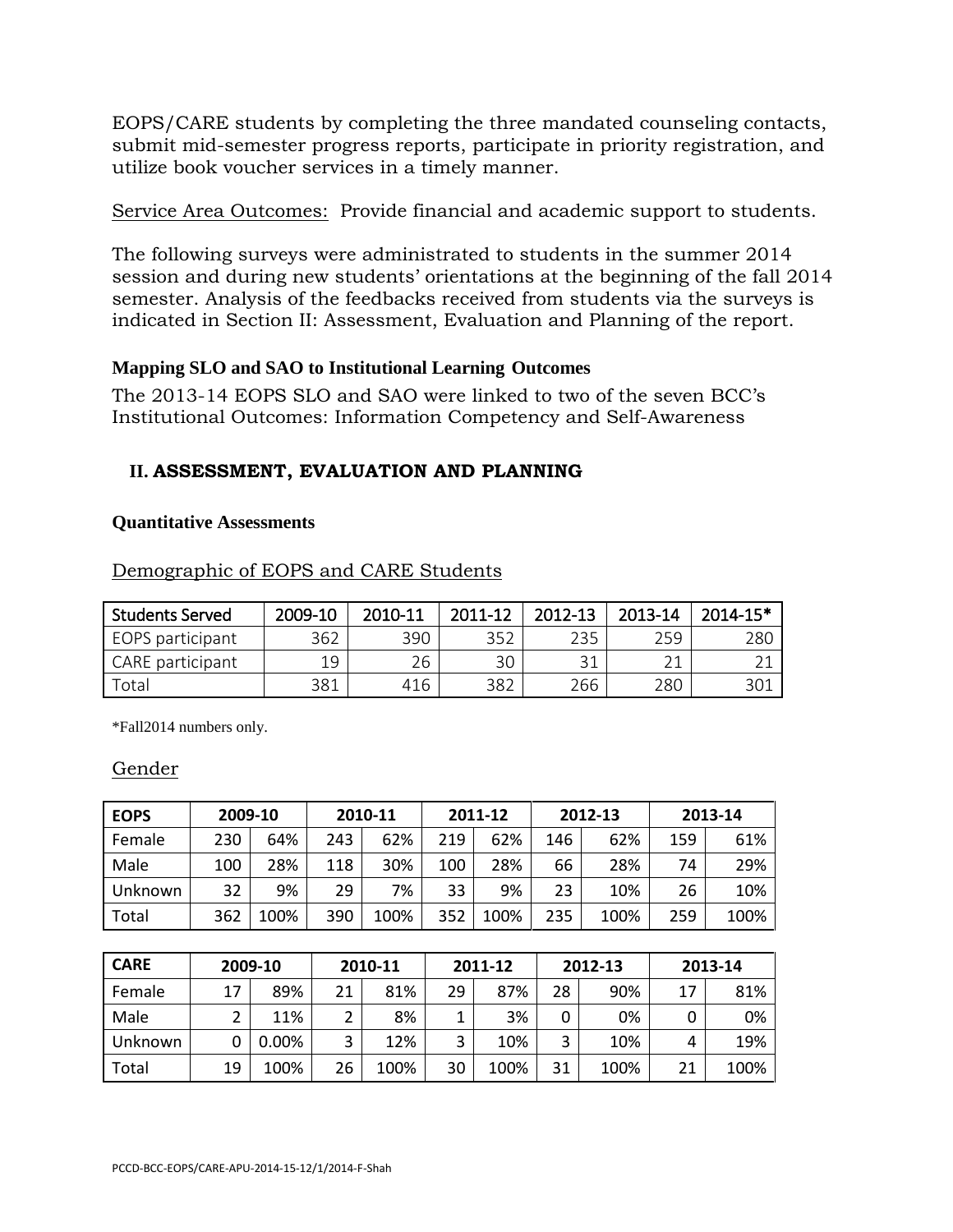EOPS/CARE students by completing the three mandated counseling contacts, submit mid-semester progress reports, participate in priority registration, and utilize book voucher services in a timely manner.

Service Area Outcomes: Provide financial and academic support to students.

The following surveys were administrated to students in the summer 2014 session and during new students' orientations at the beginning of the fall 2014 semester. Analysis of the feedbacks received from students via the surveys is indicated in Section II: Assessment, Evaluation and Planning of the report.

## **Mapping SLO and SAO to Institutional Learning Outcomes**

The 2013-14 EOPS SLO and SAO were linked to two of the seven BCC's Institutional Outcomes: Information Competency and Self-Awareness

# **II. ASSESSMENT, EVALUATION AND PLANNING**

## **Quantitative Assessments**

| <b>Students Served</b> | 2009-10 | 2010-11 | 2011-12 | 2012-13 | 2013-14 | $2014 - 15*$ |
|------------------------|---------|---------|---------|---------|---------|--------------|
| EOPS participant       | 362     | 390     | 352     | 235     | 259     | 280          |
| CARE participant       | 19      | 26      | 30      |         |         |              |
| Total                  | 381     | 416     | 382     | 266     | 280     | 301          |

Demographic of EOPS and CARE Students

\*Fall2014 numbers only.

## Gender

| <b>EOPS</b> | 2009-10 |      | 2010-11 |      | 2011-12 |      | 2012-13 |      | 2013-14 |      |
|-------------|---------|------|---------|------|---------|------|---------|------|---------|------|
| Female      | 230     | 64%  | 243     | 62%  | 219     | 62%  | 146     | 62%  | 159     | 61%  |
| Male        | 100     | 28%  | 118     | 30%  | 100     | 28%  | 66      | 28%  | 74      | 29%  |
| Unknown     | 32      | 9%   | 29      | 7%   | 33      | 9%   | 23      | 10%  | 26      | 10%  |
| Total       | 362     | 100% | 390     | 100% | 352     | 100% | 235     | 100% | 259     | 100% |

| <b>CARE</b> | 2009-10 |          | 2010-11 |      |    | 2011-12 |    | 2012-13 | 2013-14 |      |
|-------------|---------|----------|---------|------|----|---------|----|---------|---------|------|
| Female      | 17      | 89%      | 21      | 81%  | 29 | 87%     | 28 | 90%     | 17      | 81%  |
| Male        | ∍       | 11%      | ົ       | 8%   |    | 3%      | 0  | 0%      |         | 0%   |
| Unknown     |         | $0.00\%$ | ͻ       | 12%  | 3  | 10%     | 3  | 10%     | 4       | 19%  |
| Total       | 19      | 100%     | 26      | 100% | 30 | 100%    | 31 | 100%    | 21      | 100% |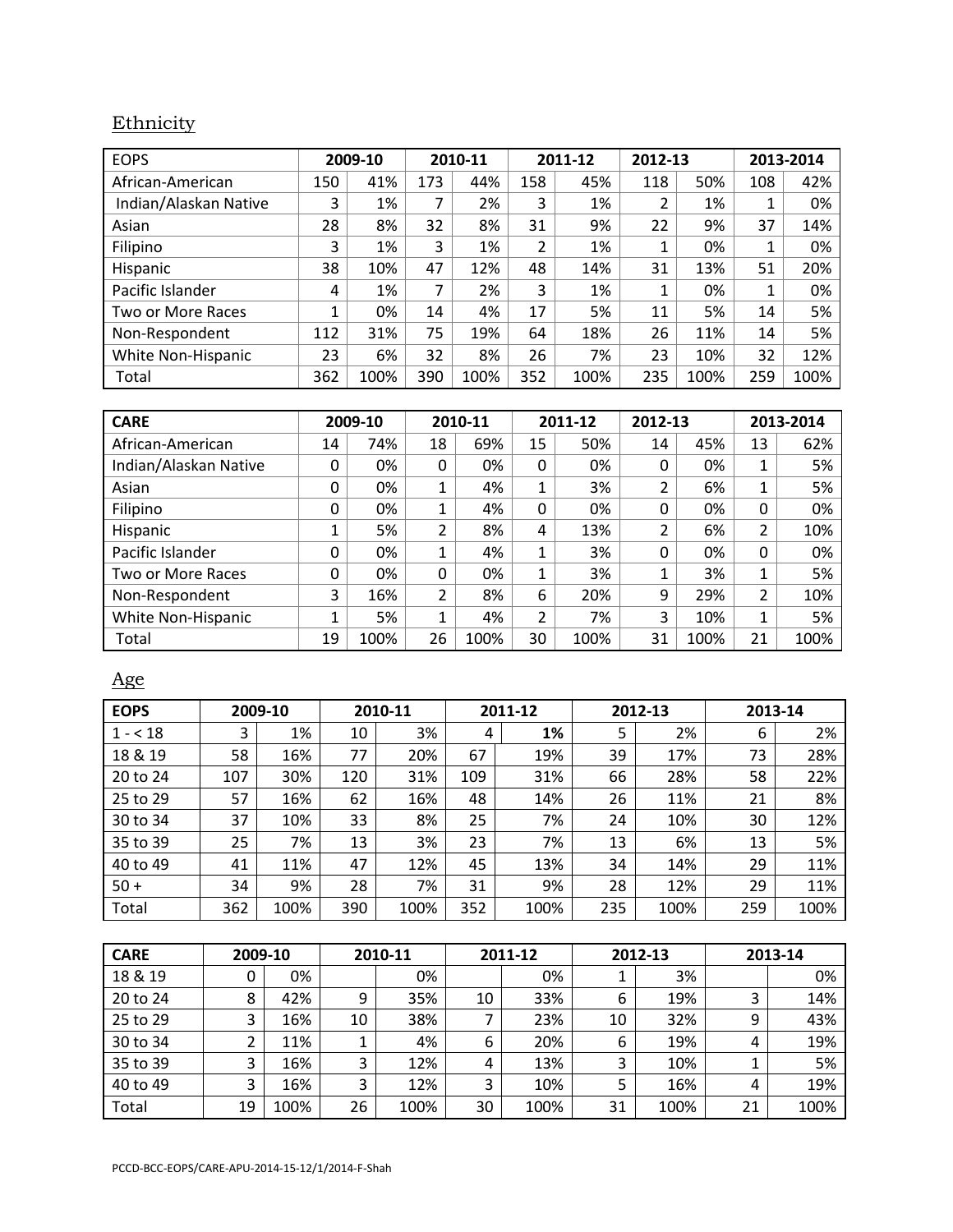# **Ethnicity**

| <b>EOPS</b>           | 2009-10 |      | 2010-11 |      | 2011-12 |      | 2012-13 |      | 2013-2014 |      |
|-----------------------|---------|------|---------|------|---------|------|---------|------|-----------|------|
| African-American      | 150     | 41%  | 173     | 44%  | 158     | 45%  | 118     | 50%  | 108       | 42%  |
| Indian/Alaskan Native | 3       | 1%   | 7       | 2%   | 3       | 1%   | 2       | 1%   | ◢<br>ᅩ    | 0%   |
| Asian                 | 28      | 8%   | 32      | 8%   | 31      | 9%   | 22      | 9%   | 37        | 14%  |
| Filipino              | 3       | 1%   | 3       | 1%   | 2       | 1%   |         | 0%   | 1         | 0%   |
| Hispanic              | 38      | 10%  | 47      | 12%  | 48      | 14%  | 31      | 13%  | 51        | 20%  |
| Pacific Islander      | 4       | 1%   | 7       | 2%   | 3       | 1%   |         | 0%   | 1         | 0%   |
| Two or More Races     | 1       | 0%   | 14      | 4%   | 17      | 5%   | 11      | 5%   | 14        | 5%   |
| Non-Respondent        | 112     | 31%  | 75      | 19%  | 64      | 18%  | 26      | 11%  | 14        | 5%   |
| White Non-Hispanic    | 23      | 6%   | 32      | 8%   | 26      | 7%   | 23      | 10%  | 32        | 12%  |
| Total                 | 362     | 100% | 390     | 100% | 352     | 100% | 235     | 100% | 259       | 100% |

| <b>CARE</b>           | 2009-10 |      |        | 2010-11 |                | 2011-12 |    | 2012-13 |    | 2013-2014 |  |
|-----------------------|---------|------|--------|---------|----------------|---------|----|---------|----|-----------|--|
| African-American      | 14      | 74%  | 18     | 69%     | 15             | 50%     | 14 | 45%     | 13 | 62%       |  |
| Indian/Alaskan Native | 0       | 0%   | 0      | 0%      | 0              | 0%      | 0  | 0%      |    | 5%        |  |
| Asian                 | 0       | 0%   | 1      | 4%      | $\mathbf{1}$   | 3%      | 2  | 6%      | 1  | 5%        |  |
| Filipino              | 0       | 0%   | 1      | 4%      | 0              | 0%      | 0  | 0%      | 0  | 0%        |  |
| Hispanic              |         | 5%   | 2      | 8%      | 4              | 13%     | 2  | 6%      | 2  | 10%       |  |
| Pacific Islander      | 0       | 0%   | 1<br>┻ | 4%      | $\mathbf{1}$   | 3%      | 0  | 0%      | 0  | 0%        |  |
| Two or More Races     | 0       | 0%   | 0      | 0%      | 1              | 3%      | 1  | 3%      |    | 5%        |  |
| Non-Respondent        | 3       | 16%  | 2      | 8%      | 6              | 20%     | 9  | 29%     | 2  | 10%       |  |
| White Non-Hispanic    | 1       | 5%   | 1      | 4%      | $\overline{2}$ | 7%      | 3  | 10%     | 1  | 5%        |  |
| Total                 | 19      | 100% | 26     | 100%    | 30             | 100%    | 31 | 100%    | 21 | 100%      |  |

# Age

| <b>EOPS</b> | 2009-10 |      | 2010-11 |      | 2011-12 |      | 2012-13 |      | 2013-14 |      |
|-------------|---------|------|---------|------|---------|------|---------|------|---------|------|
| $1 - 18$    | 3       | 1%   | 10      | 3%   | 4       | 1%   | 5       | 2%   | 6       | 2%   |
| 18 & 19     | 58      | 16%  | 77      | 20%  | 67      | 19%  | 39      | 17%  | 73      | 28%  |
| 20 to 24    | 107     | 30%  | 120     | 31%  | 109     | 31%  | 66      | 28%  | 58      | 22%  |
| 25 to 29    | 57      | 16%  | 62      | 16%  | 48      | 14%  | 26      | 11%  | 21      | 8%   |
| 30 to 34    | 37      | 10%  | 33      | 8%   | 25      | 7%   | 24      | 10%  | 30      | 12%  |
| 35 to 39    | 25      | 7%   | 13      | 3%   | 23      | 7%   | 13      | 6%   | 13      | 5%   |
| 40 to 49    | 41      | 11%  | 47      | 12%  | 45      | 13%  | 34      | 14%  | 29      | 11%  |
| $50 +$      | 34      | 9%   | 28      | 7%   | 31      | 9%   | 28      | 12%  | 29      | 11%  |
| Total       | 362     | 100% | 390     | 100% | 352     | 100% | 235     | 100% | 259     | 100% |

| <b>CARE</b> | 2009-10 |      | 2010-11 |      | 2011-12 |      |    | 2012-13 | 2013-14 |      |
|-------------|---------|------|---------|------|---------|------|----|---------|---------|------|
| 18 & 19     |         | 0%   |         | 0%   |         | 0%   |    | 3%      |         | 0%   |
| 20 to 24    | 8       | 42%  | 9       | 35%  | 10      | 33%  | 6  | 19%     |         | 14%  |
| 25 to 29    | 3       | 16%  | 10      | 38%  |         | 23%  | 10 | 32%     | 9       | 43%  |
| 30 to 34    |         | 11%  |         | 4%   | 6       | 20%  | 6  | 19%     | 4       | 19%  |
| 35 to 39    | 3       | 16%  | 3       | 12%  | 4       | 13%  | 3  | 10%     |         | 5%   |
| 40 to 49    | 3       | 16%  | 3       | 12%  | 3       | 10%  | 5  | 16%     | 4       | 19%  |
| Total       | 19      | 100% | 26      | 100% | 30      | 100% | 31 | 100%    | 21      | 100% |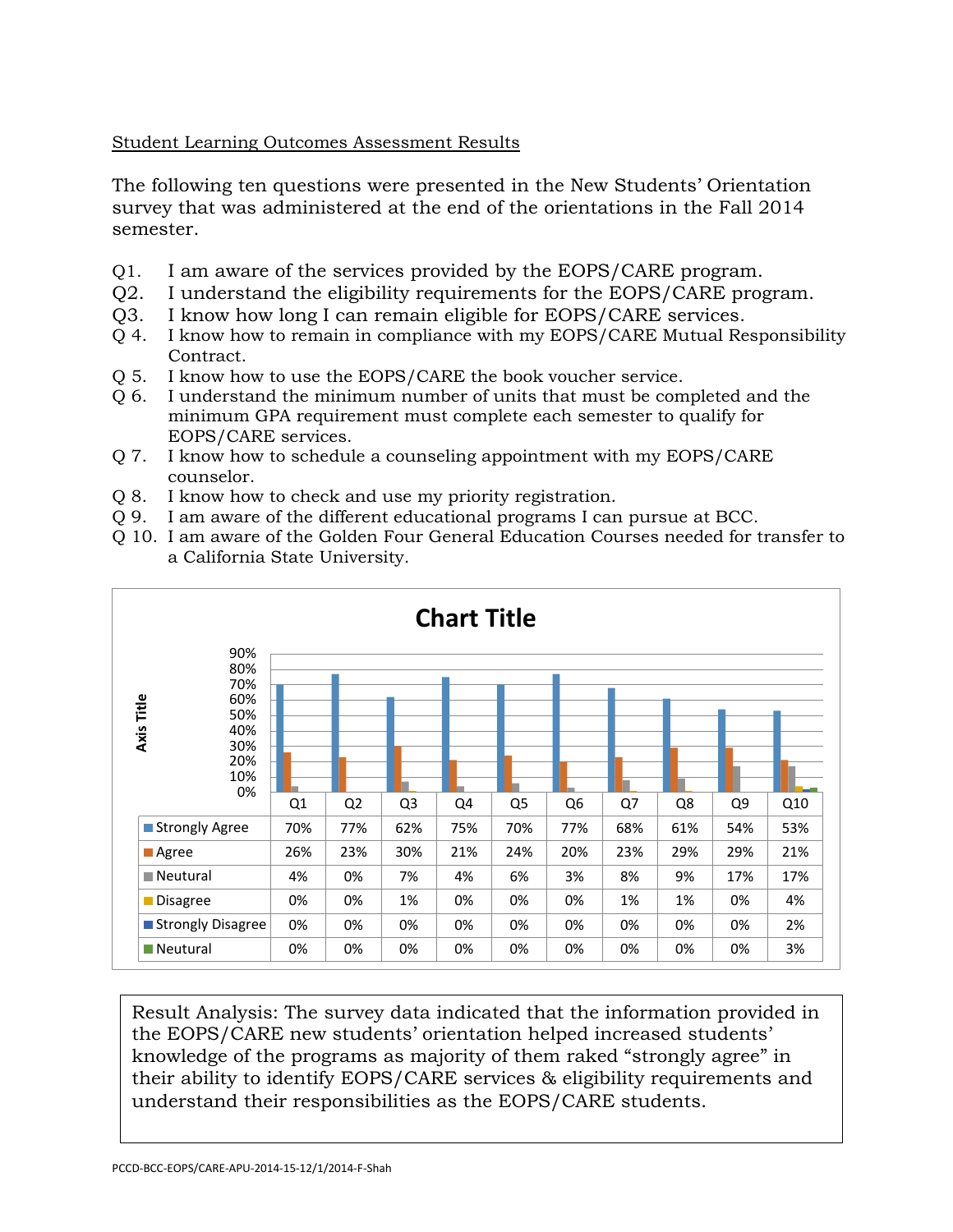## Student Learning Outcomes Assessment Results

The following ten questions were presented in the New Students' Orientation survey that was administered at the end of the orientations in the Fall 2014 semester.

- Q1. I am aware of the services provided by the EOPS/CARE program.
- Q2. I understand the eligibility requirements for the EOPS/CARE program.
- Q3. I know how long I can remain eligible for EOPS/CARE services.
- Q 4. I know how to remain in compliance with my EOPS/CARE Mutual Responsibility Contract.
- Q 5. I know how to use the EOPS/CARE the book voucher service.
- Q 6. I understand the minimum number of units that must be completed and the minimum GPA requirement must complete each semester to qualify for EOPS/CARE services.
- Q 7. I know how to schedule a counseling appointment with my EOPS/CARE counselor.
- Q 8. I know how to check and use my priority registration.
- Q 9. I am aware of the different educational programs I can pursue at BCC.
- Q 10. I am aware of the Golden Four General Education Courses needed for transfer to a California State University.



Result Analysis: The survey data indicated that the information provided in the EOPS/CARE new students' orientation helped increased students' knowledge of the programs as majority of them raked "strongly agree" in their ability to identify EOPS/CARE services & eligibility requirements and understand their responsibilities as the EOPS/CARE students.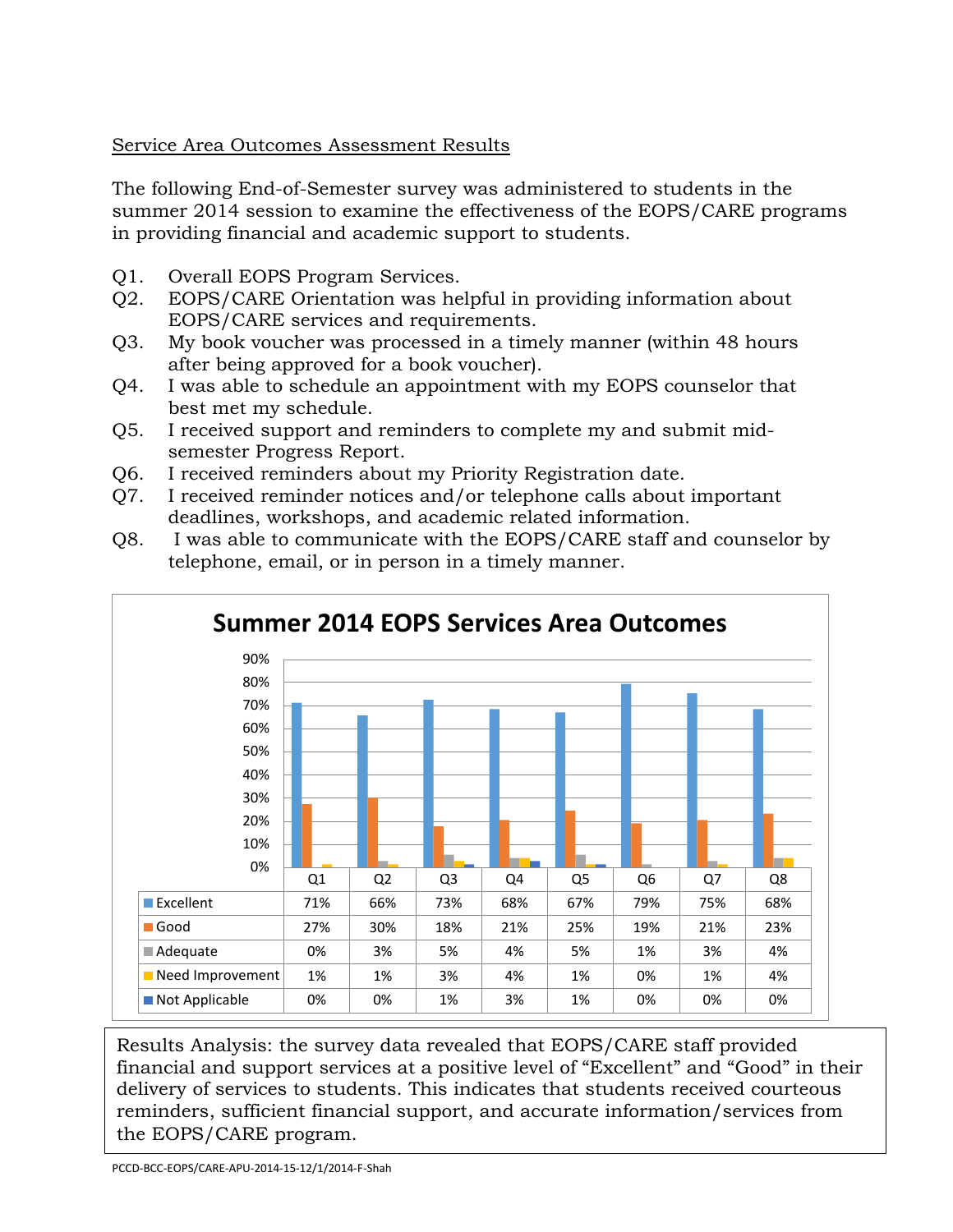# Service Area Outcomes Assessment Results

The following End-of-Semester survey was administered to students in the summer 2014 session to examine the effectiveness of the EOPS/CARE programs in providing financial and academic support to students.

- Q1. Overall EOPS Program Services.
- Q2. EOPS/CARE Orientation was helpful in providing information about EOPS/CARE services and requirements.
- Q3. My book voucher was processed in a timely manner (within 48 hours after being approved for a book voucher).
- Q4. I was able to schedule an appointment with my EOPS counselor that best met my schedule.
- Q5. I received support and reminders to complete my and submit midsemester Progress Report.
- Q6. I received reminders about my Priority Registration date.
- Q7. I received reminder notices and/or telephone calls about important deadlines, workshops, and academic related information.
- Q8. I was able to communicate with the EOPS/CARE staff and counselor by telephone, email, or in person in a timely manner.



Results Analysis: the survey data revealed that EOPS/CARE staff provided financial and support services at a positive level of "Excellent" and "Good" in their delivery of services to students. This indicates that students received courteous reminders, sufficient financial support, and accurate information/services from the EOPS/CARE program.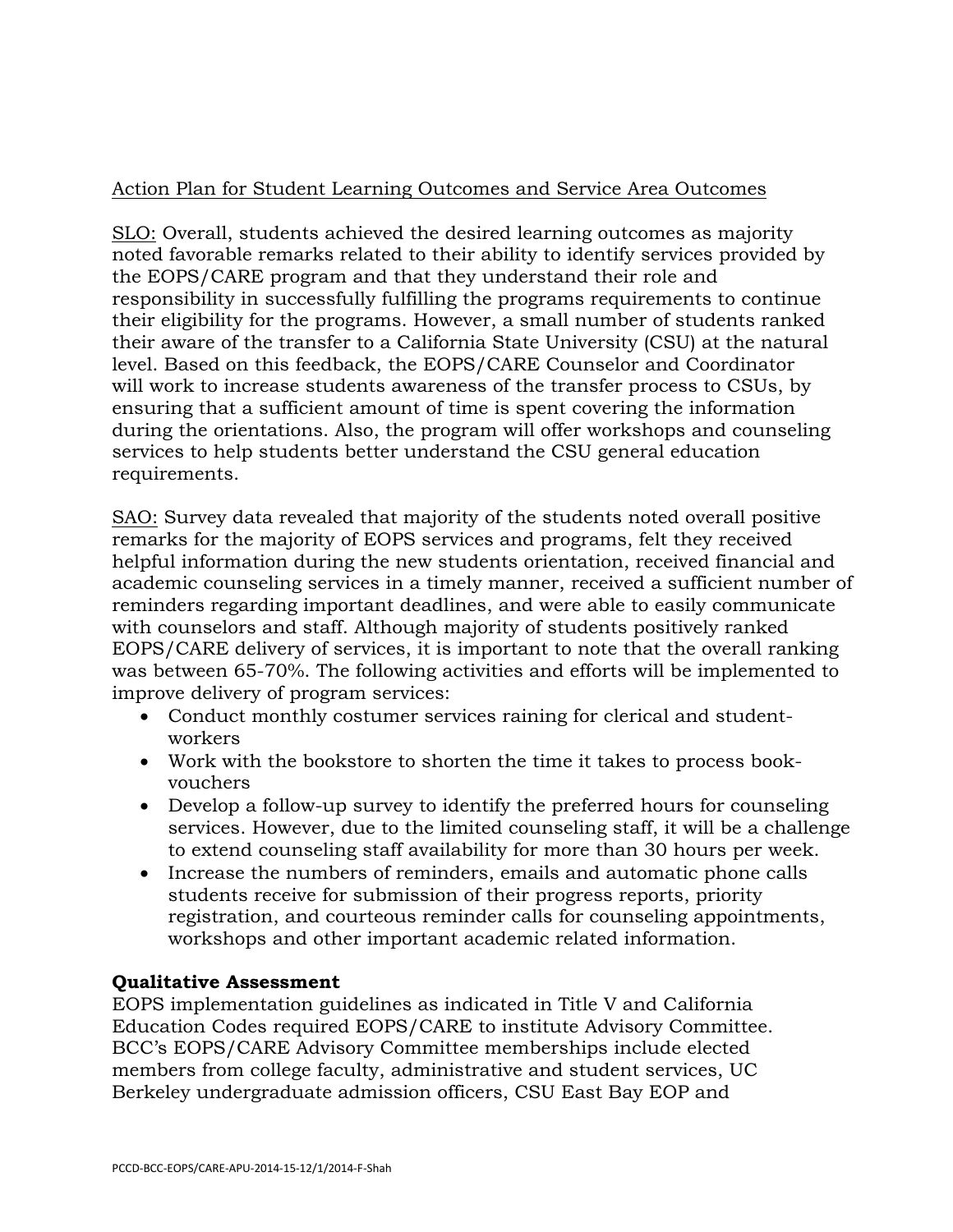# Action Plan for Student Learning Outcomes and Service Area Outcomes

SLO: Overall, students achieved the desired learning outcomes as majority noted favorable remarks related to their ability to identify services provided by the EOPS/CARE program and that they understand their role and responsibility in successfully fulfilling the programs requirements to continue their eligibility for the programs. However, a small number of students ranked their aware of the transfer to a California State University (CSU) at the natural level. Based on this feedback, the EOPS/CARE Counselor and Coordinator will work to increase students awareness of the transfer process to CSUs, by ensuring that a sufficient amount of time is spent covering the information during the orientations. Also, the program will offer workshops and counseling services to help students better understand the CSU general education requirements.

SAO: Survey data revealed that majority of the students noted overall positive remarks for the majority of EOPS services and programs, felt they received helpful information during the new students orientation, received financial and academic counseling services in a timely manner, received a sufficient number of reminders regarding important deadlines, and were able to easily communicate with counselors and staff. Although majority of students positively ranked EOPS/CARE delivery of services, it is important to note that the overall ranking was between 65-70%. The following activities and efforts will be implemented to improve delivery of program services:

- Conduct monthly costumer services raining for clerical and studentworkers
- Work with the bookstore to shorten the time it takes to process bookvouchers
- Develop a follow-up survey to identify the preferred hours for counseling services. However, due to the limited counseling staff, it will be a challenge to extend counseling staff availability for more than 30 hours per week.
- Increase the numbers of reminders, emails and automatic phone calls students receive for submission of their progress reports, priority registration, and courteous reminder calls for counseling appointments, workshops and other important academic related information.

## **Qualitative Assessment**

EOPS implementation guidelines as indicated in Title V and California Education Codes required EOPS/CARE to institute Advisory Committee. BCC's EOPS/CARE Advisory Committee memberships include elected members from college faculty, administrative and student services, UC Berkeley undergraduate admission officers, CSU East Bay EOP and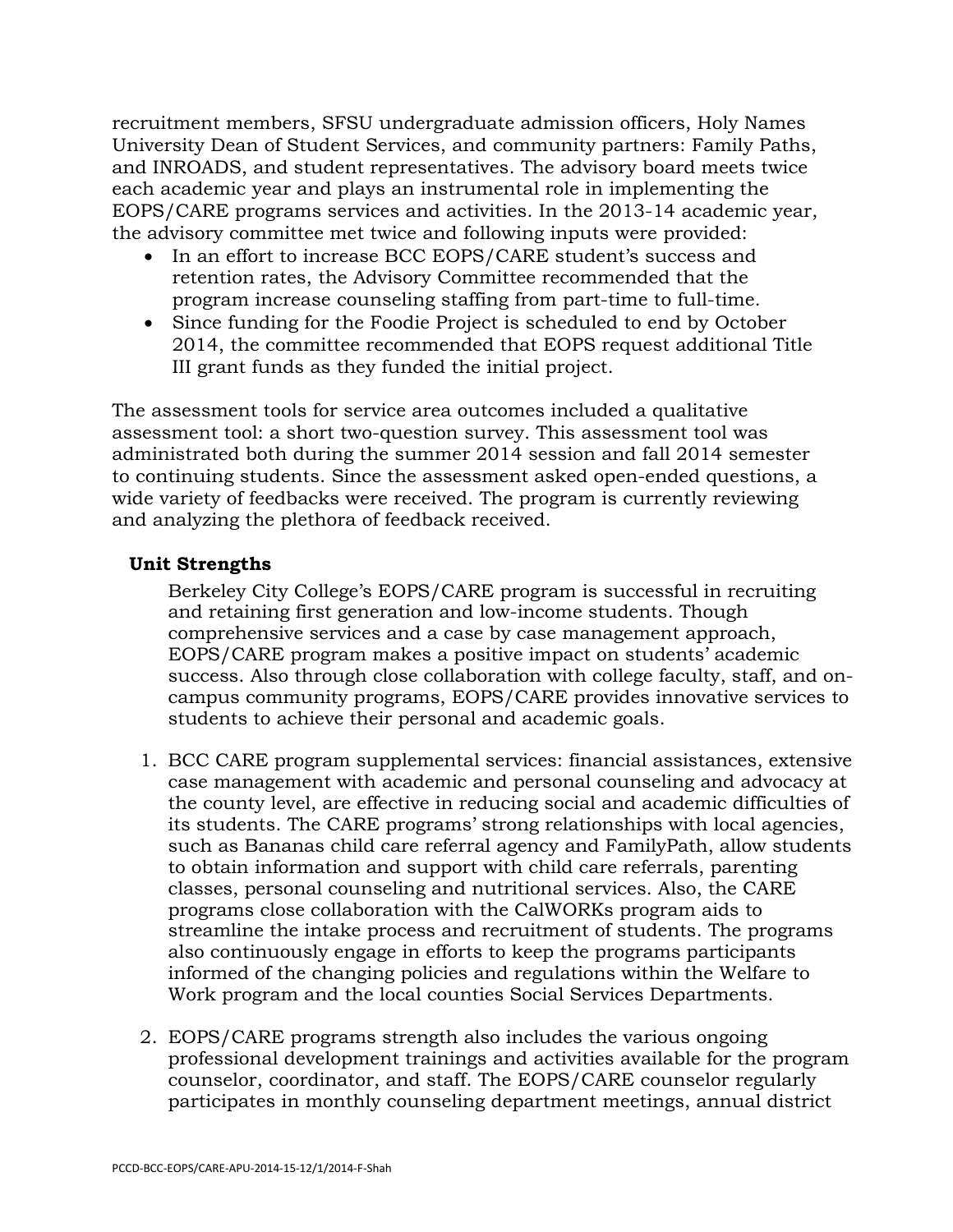recruitment members, SFSU undergraduate admission officers, Holy Names University Dean of Student Services, and community partners: Family Paths, and INROADS, and student representatives. The advisory board meets twice each academic year and plays an instrumental role in implementing the EOPS/CARE programs services and activities. In the 2013-14 academic year, the advisory committee met twice and following inputs were provided:

- In an effort to increase BCC EOPS/CARE student's success and retention rates, the Advisory Committee recommended that the program increase counseling staffing from part-time to full-time.
- Since funding for the Foodie Project is scheduled to end by October 2014, the committee recommended that EOPS request additional Title III grant funds as they funded the initial project.

The assessment tools for service area outcomes included a qualitative assessment tool: a short two-question survey. This assessment tool was administrated both during the summer 2014 session and fall 2014 semester to continuing students. Since the assessment asked open-ended questions, a wide variety of feedbacks were received. The program is currently reviewing and analyzing the plethora of feedback received.

# **Unit Strengths**

Berkeley City College's EOPS/CARE program is successful in recruiting and retaining first generation and low-income students. Though comprehensive services and a case by case management approach, EOPS/CARE program makes a positive impact on students' academic success. Also through close collaboration with college faculty, staff, and oncampus community programs, EOPS/CARE provides innovative services to students to achieve their personal and academic goals.

- 1. BCC CARE program supplemental services: financial assistances, extensive case management with academic and personal counseling and advocacy at the county level, are effective in reducing social and academic difficulties of its students. The CARE programs' strong relationships with local agencies, such as Bananas child care referral agency and FamilyPath, allow students to obtain information and support with child care referrals, parenting classes, personal counseling and nutritional services. Also, the CARE programs close collaboration with the CalWORKs program aids to streamline the intake process and recruitment of students. The programs also continuously engage in efforts to keep the programs participants informed of the changing policies and regulations within the Welfare to Work program and the local counties Social Services Departments.
- 2. EOPS/CARE programs strength also includes the various ongoing professional development trainings and activities available for the program counselor, coordinator, and staff. The EOPS/CARE counselor regularly participates in monthly counseling department meetings, annual district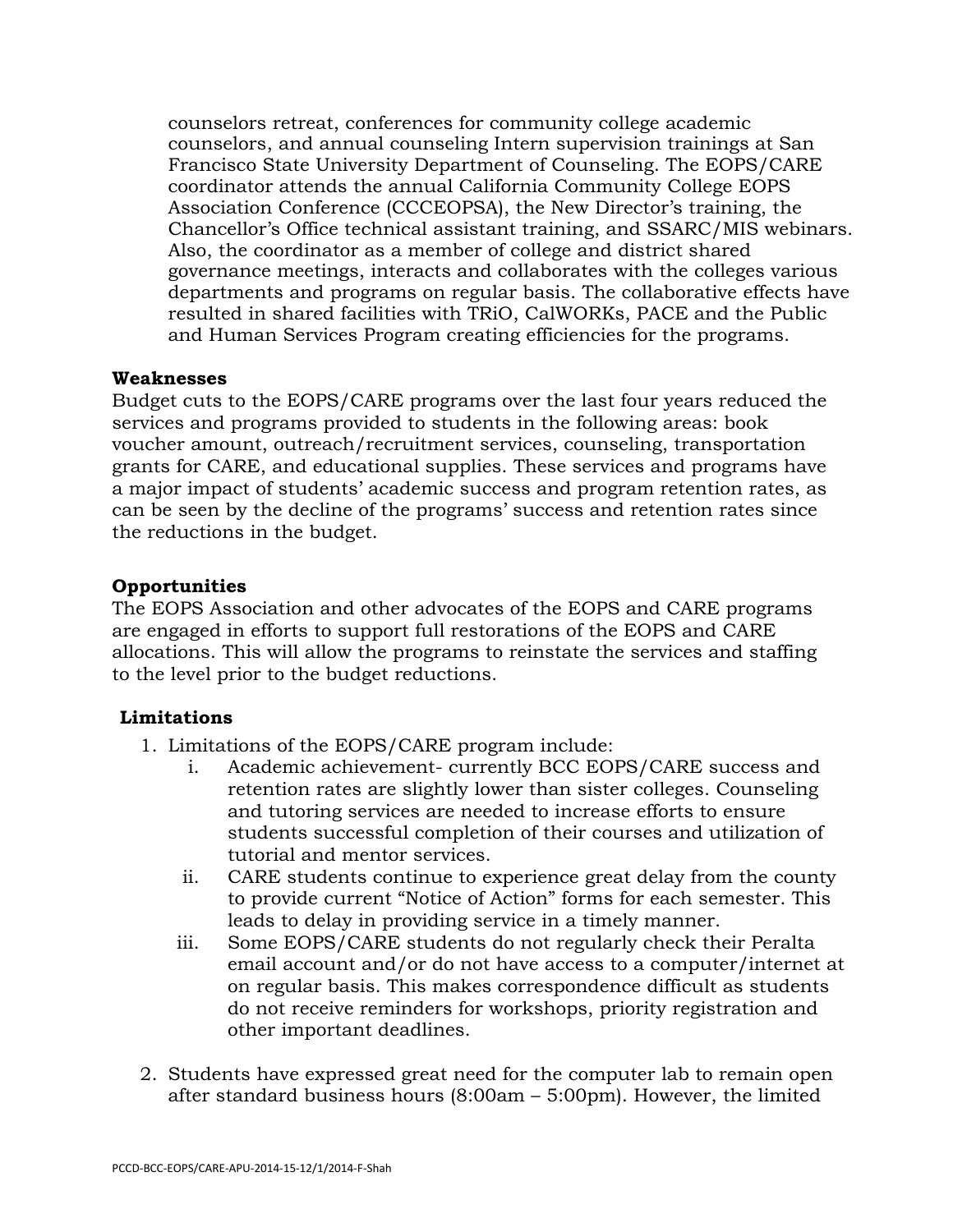counselors retreat, conferences for community college academic counselors, and annual counseling Intern supervision trainings at San Francisco State University Department of Counseling. The EOPS/CARE coordinator attends the annual California Community College EOPS Association Conference (CCCEOPSA), the New Director's training, the Chancellor's Office technical assistant training, and SSARC/MIS webinars. Also, the coordinator as a member of college and district shared governance meetings, interacts and collaborates with the colleges various departments and programs on regular basis. The collaborative effects have resulted in shared facilities with TRiO, CalWORKs, PACE and the Public and Human Services Program creating efficiencies for the programs.

#### **Weaknesses**

Budget cuts to the EOPS/CARE programs over the last four years reduced the services and programs provided to students in the following areas: book voucher amount, outreach/recruitment services, counseling, transportation grants for CARE, and educational supplies. These services and programs have a major impact of students' academic success and program retention rates, as can be seen by the decline of the programs' success and retention rates since the reductions in the budget.

## **Opportunities**

The EOPS Association and other advocates of the EOPS and CARE programs are engaged in efforts to support full restorations of the EOPS and CARE allocations. This will allow the programs to reinstate the services and staffing to the level prior to the budget reductions.

## **Limitations**

- 1. Limitations of the EOPS/CARE program include:
	- i. Academic achievement- currently BCC EOPS/CARE success and retention rates are slightly lower than sister colleges. Counseling and tutoring services are needed to increase efforts to ensure students successful completion of their courses and utilization of tutorial and mentor services.
	- ii. CARE students continue to experience great delay from the county to provide current "Notice of Action" forms for each semester. This leads to delay in providing service in a timely manner.
	- iii. Some EOPS/CARE students do not regularly check their Peralta email account and/or do not have access to a computer/internet at on regular basis. This makes correspondence difficult as students do not receive reminders for workshops, priority registration and other important deadlines.
- 2. Students have expressed great need for the computer lab to remain open after standard business hours (8:00am – 5:00pm). However, the limited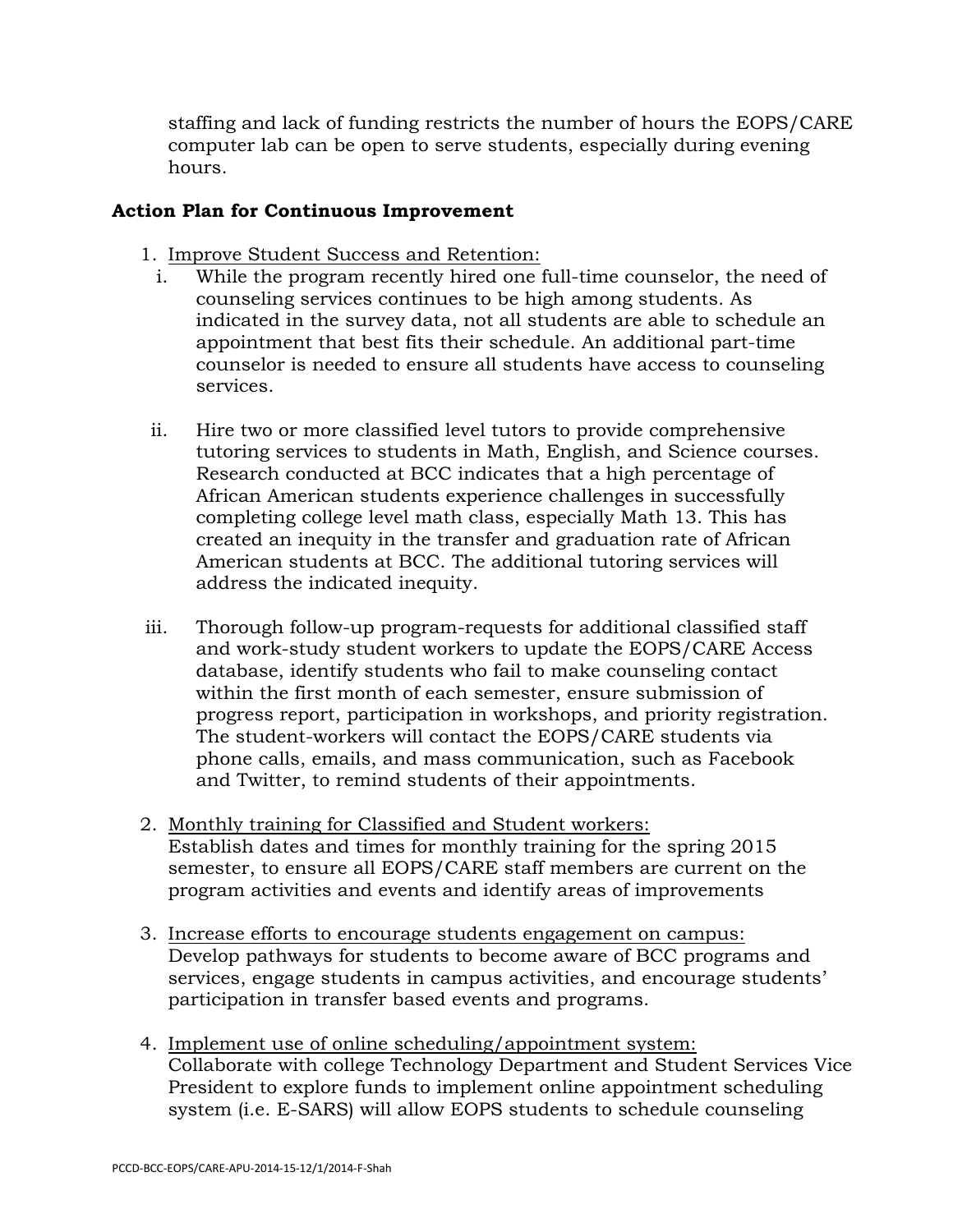staffing and lack of funding restricts the number of hours the EOPS/CARE computer lab can be open to serve students, especially during evening hours.

# **Action Plan for Continuous Improvement**

- 1. Improve Student Success and Retention:
	- i. While the program recently hired one full-time counselor, the need of counseling services continues to be high among students. As indicated in the survey data, not all students are able to schedule an appointment that best fits their schedule. An additional part-time counselor is needed to ensure all students have access to counseling services.
- ii. Hire two or more classified level tutors to provide comprehensive tutoring services to students in Math, English, and Science courses. Research conducted at BCC indicates that a high percentage of African American students experience challenges in successfully completing college level math class, especially Math 13. This has created an inequity in the transfer and graduation rate of African American students at BCC. The additional tutoring services will address the indicated inequity.
- iii. Thorough follow-up program-requests for additional classified staff and work-study student workers to update the EOPS/CARE Access database, identify students who fail to make counseling contact within the first month of each semester, ensure submission of progress report, participation in workshops, and priority registration. The student-workers will contact the EOPS/CARE students via phone calls, emails, and mass communication, such as Facebook and Twitter, to remind students of their appointments.
- 2. Monthly training for Classified and Student workers: Establish dates and times for monthly training for the spring 2015 semester, to ensure all EOPS/CARE staff members are current on the program activities and events and identify areas of improvements
- 3. Increase efforts to encourage students engagement on campus: Develop pathways for students to become aware of BCC programs and services, engage students in campus activities, and encourage students' participation in transfer based events and programs.
- 4. Implement use of online scheduling/appointment system: Collaborate with college Technology Department and Student Services Vice President to explore funds to implement online appointment scheduling system (i.e. E-SARS) will allow EOPS students to schedule counseling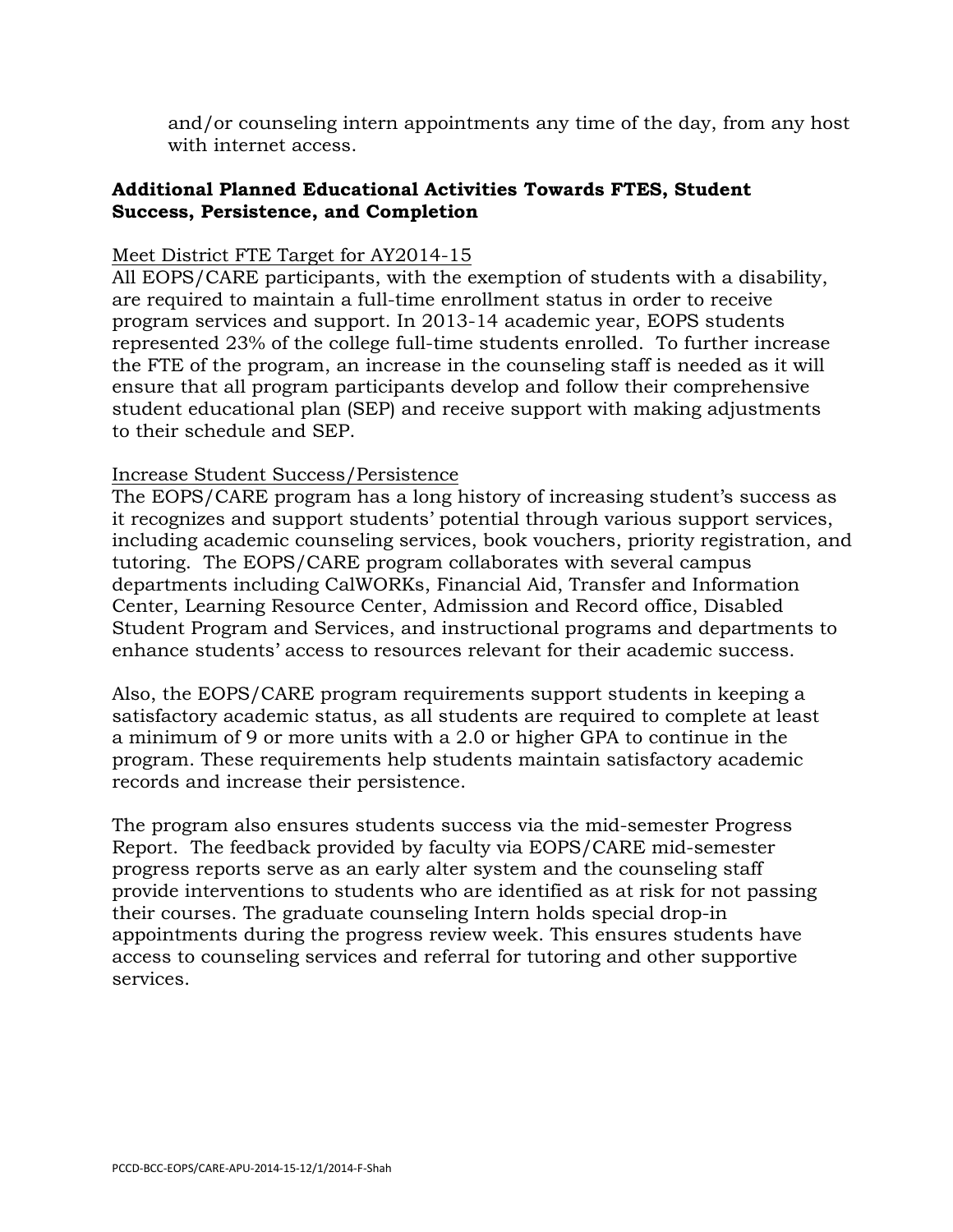and/or counseling intern appointments any time of the day, from any host with internet access.

# **Additional Planned Educational Activities Towards FTES, Student Success, Persistence, and Completion**

# Meet District FTE Target for AY2014-15

All EOPS/CARE participants, with the exemption of students with a disability, are required to maintain a full-time enrollment status in order to receive program services and support. In 2013-14 academic year, EOPS students represented 23% of the college full-time students enrolled. To further increase the FTE of the program, an increase in the counseling staff is needed as it will ensure that all program participants develop and follow their comprehensive student educational plan (SEP) and receive support with making adjustments to their schedule and SEP.

## Increase Student Success/Persistence

The EOPS/CARE program has a long history of increasing student's success as it recognizes and support students' potential through various support services, including academic counseling services, book vouchers, priority registration, and tutoring. The EOPS/CARE program collaborates with several campus departments including CalWORKs, Financial Aid, Transfer and Information Center, Learning Resource Center, Admission and Record office, Disabled Student Program and Services, and instructional programs and departments to enhance students' access to resources relevant for their academic success.

Also, the EOPS/CARE program requirements support students in keeping a satisfactory academic status, as all students are required to complete at least a minimum of 9 or more units with a 2.0 or higher GPA to continue in the program. These requirements help students maintain satisfactory academic records and increase their persistence.

The program also ensures students success via the mid-semester Progress Report. The feedback provided by faculty via EOPS/CARE mid-semester progress reports serve as an early alter system and the counseling staff provide interventions to students who are identified as at risk for not passing their courses. The graduate counseling Intern holds special drop-in appointments during the progress review week. This ensures students have access to counseling services and referral for tutoring and other supportive services.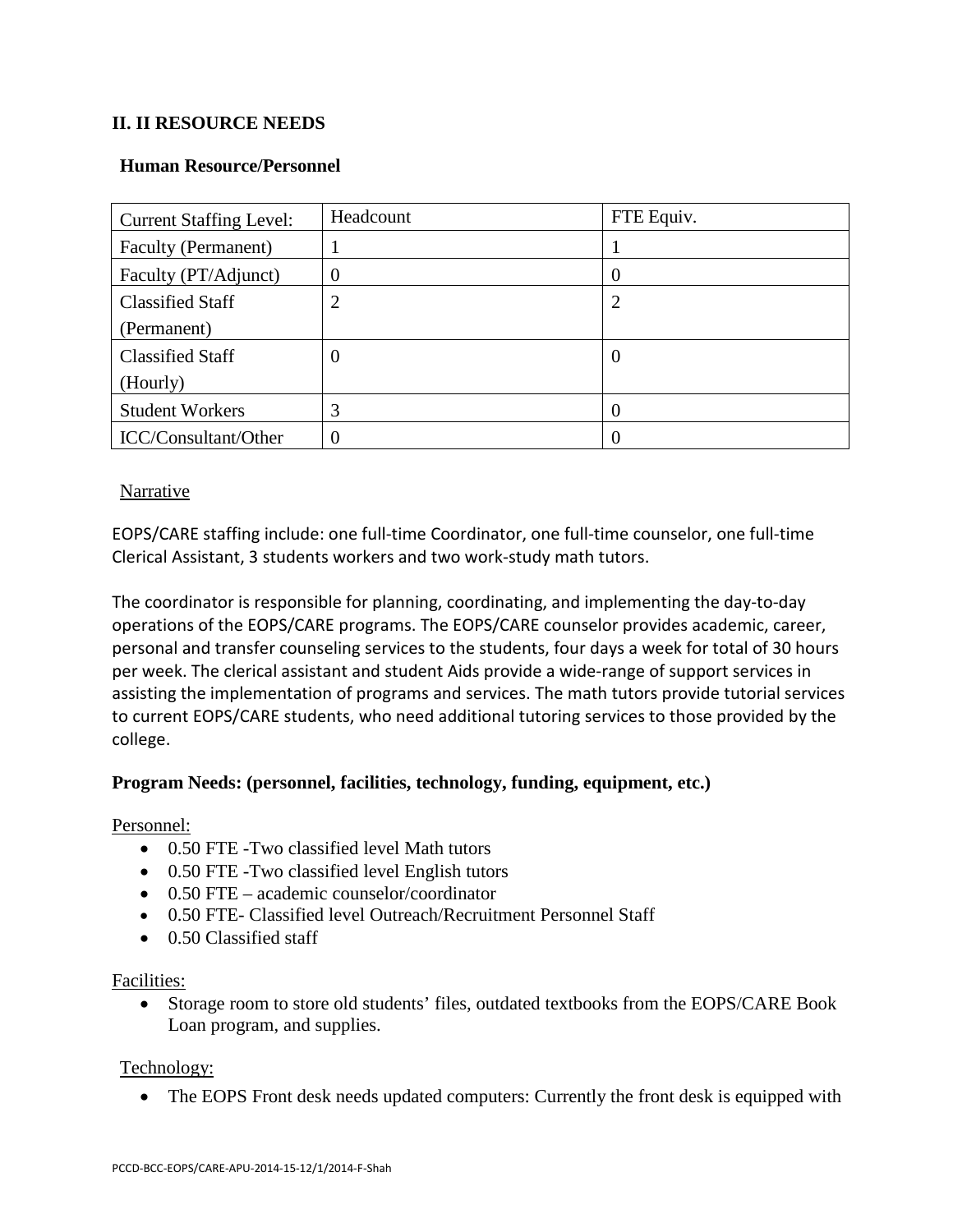## **II. II RESOURCE NEEDS**

#### **Human Resource/Personnel**

| <b>Current Staffing Level:</b> | Headcount      | FTE Equiv. |
|--------------------------------|----------------|------------|
| Faculty (Permanent)            |                |            |
| Faculty (PT/Adjunct)           | $\overline{0}$ | O          |
| <b>Classified Staff</b>        | 2              | 2          |
| (Permanent)                    |                |            |
| <b>Classified Staff</b>        | $\overline{0}$ | O          |
| (Hourly)                       |                |            |
| <b>Student Workers</b>         | 3              |            |
| ICC/Consultant/Other           | $\overline{0}$ |            |

#### **Narrative**

EOPS/CARE staffing include: one full-time Coordinator, one full-time counselor, one full-time Clerical Assistant, 3 students workers and two work-study math tutors.

The coordinator is responsible for planning, coordinating, and implementing the day-to-day operations of the EOPS/CARE programs. The EOPS/CARE counselor provides academic, career, personal and transfer counseling services to the students, four days a week for total of 30 hours per week. The clerical assistant and student Aids provide a wide-range of support services in assisting the implementation of programs and services. The math tutors provide tutorial services to current EOPS/CARE students, who need additional tutoring services to those provided by the college.

#### **Program Needs: (personnel, facilities, technology, funding, equipment, etc.)**

#### Personnel:

- 0.50 FTE -Two classified level Math tutors
- 0.50 FTE -Two classified level English tutors
- 0.50 FTE academic counselor/coordinator
- 0.50 FTE- Classified level Outreach/Recruitment Personnel Staff
- 0.50 Classified staff

#### Facilities:

• Storage room to store old students' files, outdated textbooks from the EOPS/CARE Book Loan program, and supplies.

#### Technology:

• The EOPS Front desk needs updated computers: Currently the front desk is equipped with